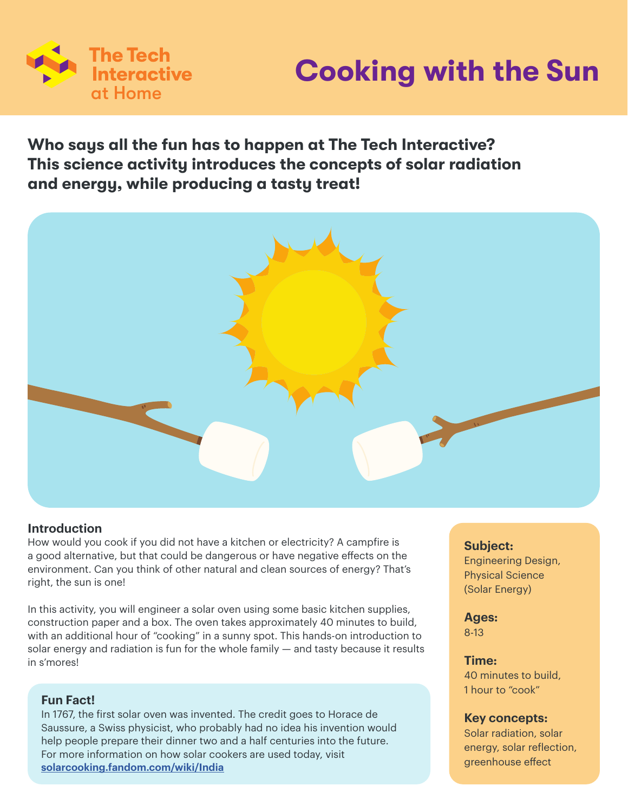

# **Cooking with the Sun**

## **Who says all the fun has to happen at The Tech Interactive? This science activity introduces the concepts of solar radiation and energy, while producing a tasty treat!**



### **Introduction**

How would you cook if you did not have a kitchen or electricity? A campfire is a good alternative, but that could be dangerous or have negative effects on the environment. Can you think of other natural and clean sources of energy? That's right, the sun is one!

In this activity, you will engineer a solar oven using some basic kitchen supplies, construction paper and a box. The oven takes approximately 40 minutes to build, with an additional hour of "cooking" in a sunny spot. This hands-on introduction to solar energy and radiation is fun for the whole family — and tasty because it results in s'mores!

#### **Fun Fact!**

In 1767, the first solar oven was invented. The credit goes to Horace de Saussure, a Swiss physicist, who probably had no idea his invention would help people prepare their dinner two and a half centuries into the future. For more information on how solar cookers are used today, visit **solarcooking.fandom.com/wiki/India**

### **Subject:**

Engineering Design, Physical Science (Solar Energy)

**Ages:**  8-13

**Time:** 

40 minutes to build, 1 hour to "cook"

### **Key concepts:**

Solar radiation, solar energy, solar reflection, greenhouse effect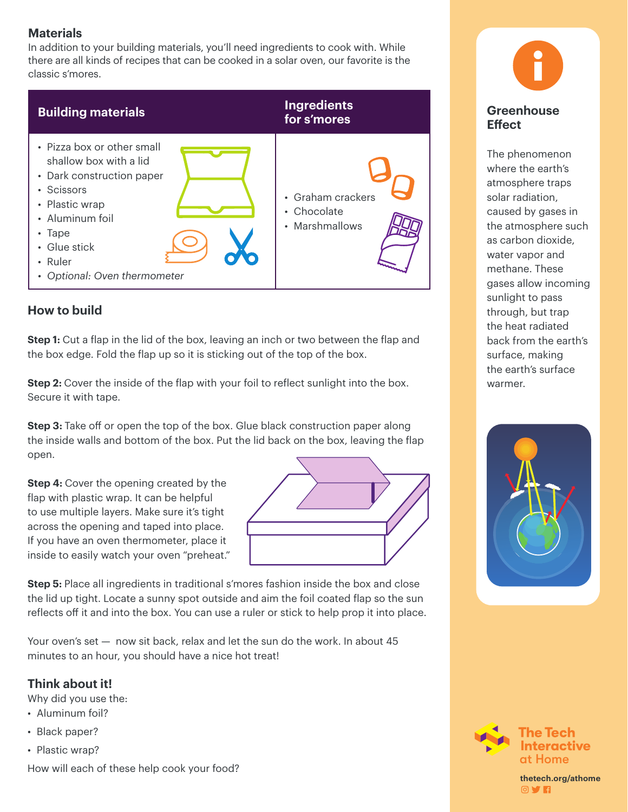## **Materials**

In addition to your building materials, you'll need ingredients to cook with. While there are all kinds of recipes that can be cooked in a solar oven, our favorite is the classic s'mores.

| <b>Building materials</b>                                                                                                                                                                                       | <b>Ingredients</b><br>for s'mores                  |
|-----------------------------------------------------------------------------------------------------------------------------------------------------------------------------------------------------------------|----------------------------------------------------|
| • Pizza box or other small<br>shallow box with a lid<br>• Dark construction paper<br>• Scissors<br>• Plastic wrap<br>• Aluminum foil<br>$\cdot$ Tape<br>• Glue stick<br>• Ruler<br>• Optional: Oven thermometer | • Graham crackers<br>• Chocolate<br>• Marshmallows |

## **How to build**

**Step 1:** Cut a flap in the lid of the box, leaving an inch or two between the flap and the box edge. Fold the flap up so it is sticking out of the top of the box.

**Step 2:** Cover the inside of the flap with your foil to reflect sunlight into the box. Secure it with tape.

**Step 3:** Take off or open the top of the box. Glue black construction paper along the inside walls and bottom of the box. Put the lid back on the box, leaving the flap open.

**Step 4:** Cover the opening created by the flap with plastic wrap. It can be helpful to use multiple layers. Make sure it's tight across the opening and taped into place. If you have an oven thermometer, place it inside to easily watch your oven "preheat."



**Step 5:** Place all ingredients in traditional s'mores fashion inside the box and close the lid up tight. Locate a sunny spot outside and aim the foil coated flap so the sun reflects off it and into the box. You can use a ruler or stick to help prop it into place.

Your oven's set — now sit back, relax and let the sun do the work. In about 45 minutes to an hour, you should have a nice hot treat!

## **Think about it!**

Why did you use the:

- Aluminum foil?
- Black paper?
- Plastic wrap?

How will each of these help cook your food?



sed by gases in<br>atmosphere such<br>carbon dioxide, The phenomenon where the earth's atmosphere traps solar radiation, caused by gases in the atmosphere such as carbon dioxide, water vapor and methane. These gases allow incoming sunlight to pass through, but trap the heat radiated back from the earth's surface, making the earth's surface warmer.





**thetech.org/athome** 0**y R**